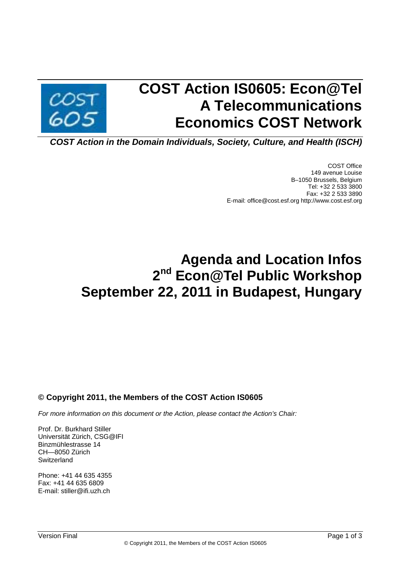

# **COST Action IS0605: Econ@Tel A Telecommunications Economics COST Network**

*COST Action in the Domain Individuals, Society, Culture, and Health (ISCH)* 

COST Office 149 avenue Louise B–1050 Brussels, Belgium Tel: +32 2 533 3800 Fax: +32 2 533 3890 E-mail: office@cost.esf.org http://www.cost.esf.org

## **Agenda and Location Infos 2nd Econ@Tel Public Workshop September 22, 2011 in Budapest, Hungary**

#### **© Copyright 2011, the Members of the COST Action IS0605**

*For more information on this document or the Action, please contact the Action's Chair:* 

Prof. Dr. Burkhard Stiller Universität Zürich, CSG@IFI Binzmühlestrasse 14 CH—8050 Zürich **Switzerland** 

Phone: +41 44 635 4355 Fax: +41 44 635 6809 E-mail: stiller@ifi.uzh.ch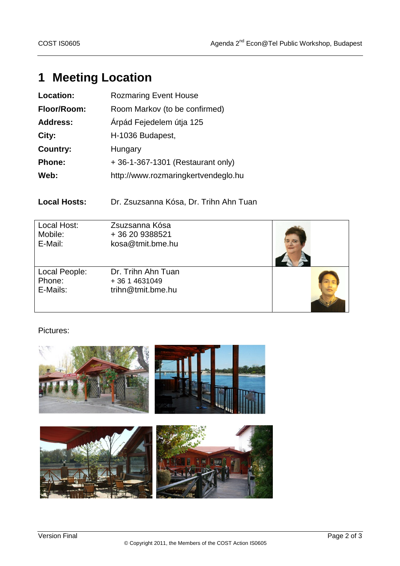### **1 Meeting Location**

| <b>Rozmaring Event House</b>        |  |
|-------------------------------------|--|
| Room Markov (to be confirmed)       |  |
| Árpád Fejedelem útja 125            |  |
| H-1036 Budapest,                    |  |
| Hungary                             |  |
| + 36-1-367-1301 (Restaurant only)   |  |
| http://www.rozmaringkertvendeglo.hu |  |
|                                     |  |

**Local Hosts:** Dr. Zsuzsanna Kósa, Dr. Trihn Ahn Tuan

| Local Host:<br>Mobile:<br>E-Mail:   | Zsuzsanna Kósa<br>+36 20 9388521<br>kosa@tmit.bme.hu     |  |
|-------------------------------------|----------------------------------------------------------|--|
| Local People:<br>Phone:<br>E-Mails: | Dr. Trihn Ahn Tuan<br>+36 1 4631049<br>trihn@tmit.bme.hu |  |

#### Pictures: